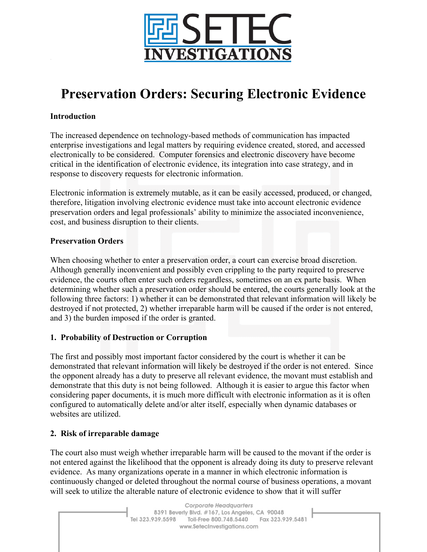

# **Preservation Orders: Securing Electronic Evidence**

## **Introduction**

The increased dependence on technology-based methods of communication has impacted enterprise investigations and legal matters by requiring evidence created, stored, and accessed electronically to be considered. Computer forensics and electronic discovery have become critical in the identification of electronic evidence, its integration into case strategy, and in response to discovery requests for electronic information.

Electronic information is extremely mutable, as it can be easily accessed, produced, or changed, therefore, litigation involving electronic evidence must take into account electronic evidence preservation orders and legal professionals' ability to minimize the associated inconvenience, cost, and business disruption to their clients.

### **Preservation Orders**

When choosing whether to enter a preservation order, a court can exercise broad discretion. Although generally inconvenient and possibly even crippling to the party required to preserve evidence, the courts often enter such orders regardless, sometimes on an ex parte basis. When determining whether such a preservation order should be entered, the courts generally look at the following three factors: 1) whether it can be demonstrated that relevant information will likely be destroyed if not protected, 2) whether irreparable harm will be caused if the order is not entered, and 3) the burden imposed if the order is granted.

### **1. Probability of Destruction or Corruption**

The first and possibly most important factor considered by the court is whether it can be demonstrated that relevant information will likely be destroyed if the order is not entered. Since the opponent already has a duty to preserve all relevant evidence, the movant must establish and demonstrate that this duty is not being followed. Although it is easier to argue this factor when considering paper documents, it is much more difficult with electronic information as it is often configured to automatically delete and/or alter itself, especially when dynamic databases or websites are utilized.

# **2. Risk of irreparable damage**

The court also must weigh whether irreparable harm will be caused to the movant if the order is not entered against the likelihood that the opponent is already doing its duty to preserve relevant evidence. As many organizations operate in a manner in which electronic information is continuously changed or deleted throughout the normal course of business operations, a movant will seek to utilize the alterable nature of electronic evidence to show that it will suffer

> Corporate Headquarters 8391 Beverly Blvd. #167, Los Angeles, CA 90048 Tel 323.939.5598 Toll-Free 800.748.5440 Fax 323.939.5481 www.SetecInvestigations.com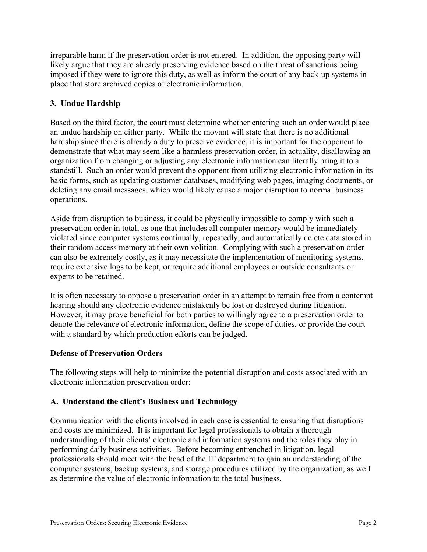irreparable harm if the preservation order is not entered. In addition, the opposing party will likely argue that they are already preserving evidence based on the threat of sanctions being imposed if they were to ignore this duty, as well as inform the court of any back-up systems in place that store archived copies of electronic information.

## **3. Undue Hardship**

Based on the third factor, the court must determine whether entering such an order would place an undue hardship on either party. While the movant will state that there is no additional hardship since there is already a duty to preserve evidence, it is important for the opponent to demonstrate that what may seem like a harmless preservation order, in actuality, disallowing an organization from changing or adjusting any electronic information can literally bring it to a standstill. Such an order would prevent the opponent from utilizing electronic information in its basic forms, such as updating customer databases, modifying web pages, imaging documents, or deleting any email messages, which would likely cause a major disruption to normal business operations.

Aside from disruption to business, it could be physically impossible to comply with such a preservation order in total, as one that includes all computer memory would be immediately violated since computer systems continually, repeatedly, and automatically delete data stored in their random access memory at their own volition. Complying with such a preservation order can also be extremely costly, as it may necessitate the implementation of monitoring systems, require extensive logs to be kept, or require additional employees or outside consultants or experts to be retained.

It is often necessary to oppose a preservation order in an attempt to remain free from a contempt hearing should any electronic evidence mistakenly be lost or destroyed during litigation. However, it may prove beneficial for both parties to willingly agree to a preservation order to denote the relevance of electronic information, define the scope of duties, or provide the court with a standard by which production efforts can be judged.

### **Defense of Preservation Orders**

The following steps will help to minimize the potential disruption and costs associated with an electronic information preservation order:

# **A. Understand the client's Business and Technology**

Communication with the clients involved in each case is essential to ensuring that disruptions and costs are minimized. It is important for legal professionals to obtain a thorough understanding of their clients' electronic and information systems and the roles they play in performing daily business activities. Before becoming entrenched in litigation, legal professionals should meet with the head of the IT department to gain an understanding of the computer systems, backup systems, and storage procedures utilized by the organization, as well as determine the value of electronic information to the total business.